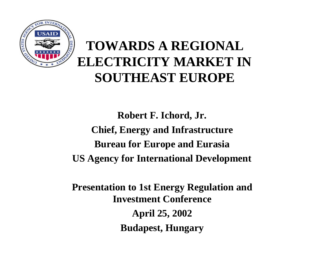

#### **TOWARDS A REGIONAL ELECTRICITY MARKET IN SOUTHEAST EUROPE**

**Robert F. Ichord, Jr. Chief, Energy and Infrastructure Bureau for Europe and Eurasia US Agency for International Development**

**Presentation to 1st Energy Regulation and Investment Conference April 25, 2002 Budapest, Hungary**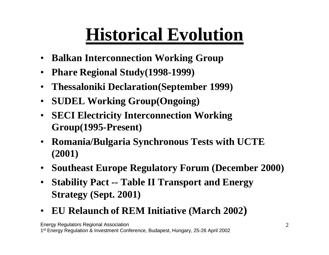#### **Historical Evolution**

- **Balkan Interconnection Working Group**
- **Phare Regional Study(1998-1999)**
- **Thessaloniki Declaration(September 1999)**
- **SUDEL Working Group(Ongoing)**
- **SECI Electricity Interconnection Working Group(1995-Present)**
- **Romania/Bulgaria Synchronous Tests with UCTE (2001)**
- **Southeast Europe Regulatory Forum (December 2000)**
- **Stability Pact -- Table II Transport and Energy Strategy (Sept. 2001)**
- **EU Relaunch of REM Initiative (March 2002)**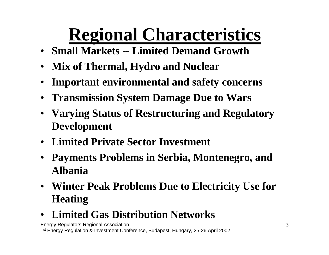## **Regional Characteristics**

- **Small Markets -- Limited Demand Growth**
- **Mix of Thermal, Hydro and Nuclear**
- **Important environmental and safety concerns**
- **Transmission System Damage Due to Wars**
- **Varying Status of Restructuring and Regulatory Development**
- **Limited Private Sector Investment**
- **Payments Problems in Serbia, Montenegro, and Albania**
- **Winter Peak Problems Due to Electricity Use for Heating**
- **Limited Gas Distribution Networks**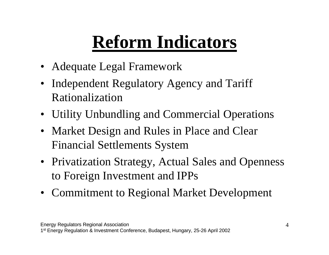## **Reform Indicators**

- Adequate Legal Framework
- Independent Regulatory Agency and Tariff Rationalization
- Utility Unbundling and Commercial Operations
- Market Design and Rules in Place and Clear Financial Settlements System
- Privatization Strategy, Actual Sales and Openness to Foreign Investment and IPPs
- Commitment to Regional Market Development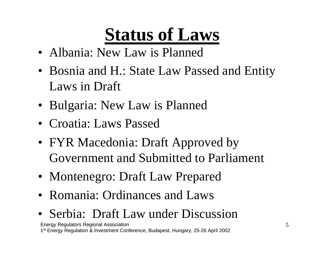### **Status of Laws**

- Albania: New Law is Planned
- Bosnia and H.: State Law Passed and Entity Laws in Draft
- Bulgaria: New Law is Planned
- Croatia: Laws Passed
- FYR Macedonia: Draft Approved by Government and Submitted to Parliament
- Montenegro: Draft Law Prepared
- Romania: Ordinances and Laws
- Serbia: Draft Law under Discussion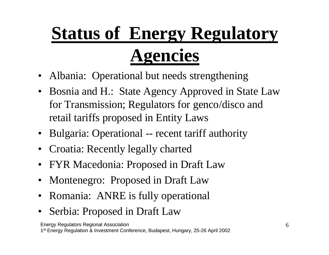## **Status of Energy Regulatory Agencies**

- Albania: Operational but needs strengthening
- Bosnia and H.: State Agency Approved in State Law for Transmission; Regulators for genco/disco and retail tariffs proposed in Entity Laws
- Bulgaria: Operational -- recent tariff authority
- Croatia: Recently legally charted
- FYR Macedonia: Proposed in Draft Law
- Montenegro: Proposed in Draft Law
- Romania: ANRE is fully operational
- Serbia: Proposed in Draft Law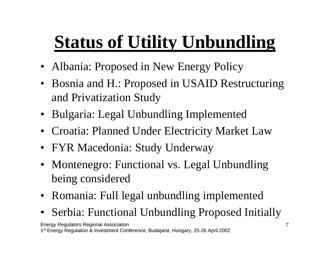## **Status of Utility Unbundling**

- Albania: Proposed in New Energy Policy
- Bosnia and H.: Proposed in USAID Restructuring and Privatization Study
- Bulgaria: Legal Unbundling Implemented
- Croatia: Planned Under Electricity Market Law
- FYR Macedonia: Study Underway
- Montenegro: Functional vs. Legal Unbundling being considered
- Romania: Full legal unbundling implemented
- Serbia: Functional Unbundling Proposed Initially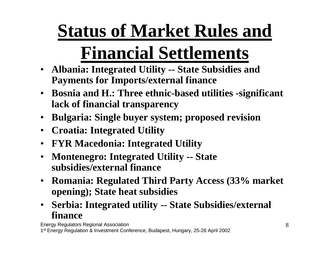# **Status of Market Rules and**

## **Financial Settlements**

- **Albania: Integrated Utility -- State Subsidies and Payments for Imports/external finance**
- **Bosnia and H.: Three ethnic-based utilities -significant lack of financial transparency**
- **Bulgaria: Single buyer system; proposed revision**
- **Croatia: Integrated Utility**
- **FYR Macedonia: Integrated Utility**
- **Montenegro: Integrated Utility -- State subsidies/external finance**
- **Romania: Regulated Third Party Access (33% market opening); State heat subsidies**
- **Serbia: Integrated utility -- State Subsidies/external finance**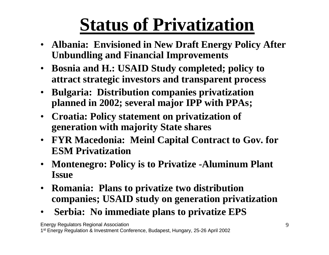#### **Status of Privatization**

- **Albania: Envisioned in New Draft Energy Policy After Unbundling and Financial Improvements**
- **Bosnia and H.: USAID Study completed; policy to attract strategic investors and transparent process**
- **Bulgaria: Distribution companies privatization planned in 2002; several major IPP with PPAs;**
- **Croatia: Policy statement on privatization of generation with majority State shares**
- **FYR Macedonia: Meinl Capital Contract to Gov. for ESM Privatization**
- **Montenegro: Policy is to Privatize -Aluminum Plant Issue**
- **Romania: Plans to privatize two distribution companies; USAID study on generation privatization**
- • **Serbia: No immediate plans to privatize EPS**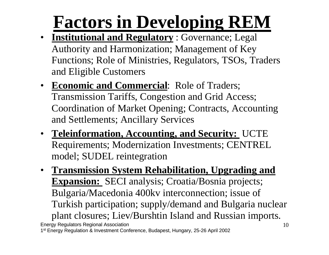#### **Factors in Developing REM**

- **Institutional and Regulatory** : Governance; Legal Authority and Harmonization; Management of Key Functions; Role of Ministries, Regulators, TSOs, Traders and Eligible Customers
- **Economic and Commercial**: Role of Traders; Transmission Tariffs, Congestion and Grid Access; Coordination of Market Opening; Contracts, Accounting and Settlements; Ancillary Services
- **Teleinformation, Accounting, and Security:** UCTE Requirements; Modernization Investments; CENTREL model; SUDEL reintegration
- Energy Regulators Regional Association 1<sup>st</sup> Energy Regulation & Investment Conference, Budapest, Hungary, 25-26 April 2002 10 • **Transmission System Rehabilitation, Upgrading and Expansion:** SECI analysis; Croatia/Bosnia projects; Bulgaria/Macedonia 400kv interconnection; issue of Turkish participation; supply/demand and Bulgaria nuclear plant closures; Liev/Burshtin Island and Russian imports.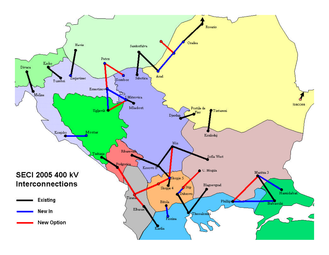